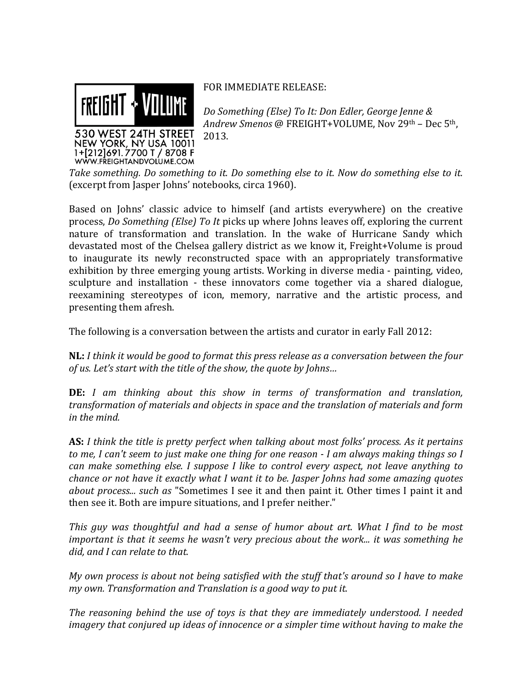

FOR IMMEDIATE RELEASE:

Do Something (Else) To It: Don Edler, George Jenne & Andrew Smenos @ FREIGHT+VOLUME, Nov 29th - Dec 5th, 2013.

Take something. Do something to it. Do something else to it. Now do something else to it. (excerpt from Jasper Johns' notebooks, circa 1960).

Based on Johns' classic advice to himself (and artists everywhere) on the creative process, *Do Something (Else) To It* picks up where Johns leaves off, exploring the current nature of transformation and translation. In the wake of Hurricane Sandy which devastated most of the Chelsea gallery district as we know it, Freight+Volume is proud to inaugurate its newly reconstructed space with an appropriately transformative exhibition by three emerging young artists. Working in diverse media - painting, video, sculpture and installation - these innovators come together via a shared dialogue, reexamining stereotypes of icon, memory, narrative and the artistic process, and presenting them afresh.

The following is a conversation between the artists and curator in early Fall 2012:

**NL**: I think it would be good to format this press release as a conversation between the four of us. Let's start with the title of the show, the quote by Johns...

**DE:** I am thinking about this show in terms of transformation and translation, transformation of materials and objects in space and the translation of materials and form in the mind.

**AS:** I think the title is pretty perfect when talking about most folks' process. As it pertains to me, I can't seem to just make one thing for one reason - I am always making things so I can make something else. I suppose I like to control every aspect, not leave anything to chance or not have it exactly what I want it to be. Jasper Johns had some amazing quotes about process... such as "Sometimes I see it and then paint it. Other times I paint it and then see it. Both are impure situations, and I prefer neither."

This guy was thoughtful and had a sense of humor about art. What I find to be most important is that it seems he wasn't very precious about the work... it was something he did, and I can relate to that.

My own process is about not being satisfied with the stuff that's around so I have to make my own. Transformation and Translation is a good way to put it.

The reasoning behind the use of toys is that they are immediately understood. I needed imagery that conjured up ideas of innocence or a simpler time without having to make the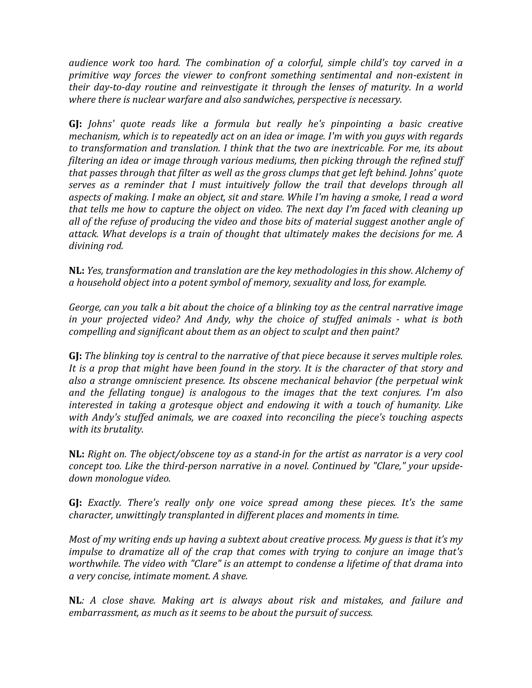audience work too hard. The combination of a colorful, simple child's toy carved in a *primitive way forces the viewer to confront something sentimental and non-existent in* their day-to-day routine and reinvestigate it through the lenses of maturity. In a world *where there is nuclear warfare and also sandwiches, perspective is necessary.* 

**GJ:** *Johns'* guote reads like a formula but really he's pinpointing a basic creative *mechanism, which is to repeatedly act on an idea or image. I'm with you guys with regards* to transformation and translation. I think that the two are inextricable. For me, its about filtering an idea or image through various mediums, then picking through the refined stuff that passes through that filter as well as the gross clumps that get left behind. Johns' quote *serves as a reminder that I must intuitively follow the trail that develops through all* aspects of making. I make an object, sit and stare. While I'm having a smoke, I read a word *that tells me how to capture the object on video. The next day I'm faced with cleaning up* all of the refuse of producing the video and those bits of material suggest another angle of attack. What develops is a train of thought that ultimately makes the decisions for me. A divining rod.

**NL:** *Yes, transformation and translation are the key methodologies in this show. Alchemy of* a household object into a potent symbol of memory, sexuality and loss, for example.

*George, can you talk a bit about the choice of a blinking toy as the central narrative image in your projected video? And Andy, why the choice of stuffed animals - what is both compelling and significant about them as an object to sculpt and then paint?* 

**GJ:** *The blinking toy is central to the narrative of that piece because it serves multiple roles.* It is a prop that might have been found in the story. It is the character of that story and also a strange omniscient presence. Its obscene mechanical behavior (the perpetual wink and the fellating tongue) is analogous to the images that the text conjures. I'm also *interested in taking a grotesque object and endowing it with a touch of humanity. Like* with Andy's stuffed animals, we are coaxed into reconciling the piece's touching aspects with its brutality.

**NL:** *Right on. The object/obscene toy as a stand-in for the artist as narrator is a very cool concept too. Like the third-person narrative in a novel. Continued by "Clare," your upsidedown#monologue#video.*

**GJ:** *Exactly. There's really only one voice spread among these pieces. It's the same character, unwittingly transplanted in different places and moments in time.* 

*Most of my writing ends up having a subtext about creative process. My guess is that it's my impulse to dramatize all of the crap that comes with trying to conjure an image that's* worthwhile. The video with "Clare" is an attempt to condense a lifetime of that drama into  $a$  very concise, intimate moment. A shave.

**NL***: A close shave. Making art is always about risk and mistakes, and failure and embarrassment, as much as it seems to be about the pursuit of success.*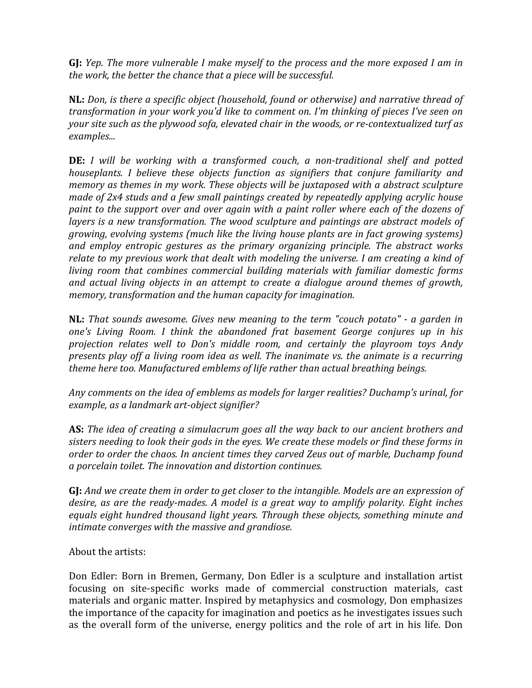**GJ:** Yep. The more vulnerable I make myself to the process and the more exposed I am in the work, the better the chance that a piece will be successful.

**NL:** Don, is there a specific object (household, found or otherwise) and narrative thread of *transformation in your work you'd like to comment on. I'm thinking of pieces I've seen on your site such as the plywood sofa, elevated chair in the woods, or re-contextualized turf as examples...*

**DE:** *I will be working with a transformed couch, a non-traditional shelf and potted houseplants. I believe these objects function as signifiers that conjure familiarity and memory as themes in my work. These objects will be juxtaposed with a abstract sculpture made of 2x4 studs and a few small paintings created by repeatedly applying acrylic house paint to the support over and over again with a paint roller where each of the dozens of layers is a new transformation. The wood sculpture and paintings are abstract models of growing, evolving systems (much like the living house plants are in fact growing systems)* and employ entropic gestures as the primary organizing principle. The abstract works relate to my previous work that dealt with modeling the universe. I am creating a kind of *living room that combines commercial building materials with familiar domestic forms* and actual living objects in an attempt to create a dialogue around themes of growth, memory, transformation and the human capacity for imagination.

**NL:** That sounds awesome. Gives new meaning to the term "couch potato" - a garden in *one's Living Room. I think the abandoned frat basement George conjures up in his* projection relates well to Don's middle room, and certainly the playroom toys Andy *presents play off a living room idea as well. The inanimate vs. the animate is a recurring* theme here too. Manufactured emblems of life rather than actual breathing beings.

Any comments on the idea of emblems as models for larger realities? Duchamp's urinal, for *example, as a landmark art-object signifier?* 

**AS:** The idea of creating a simulacrum goes all the way back to our ancient brothers and sisters needing to look their gods in the eyes. We create these models or find these forms in *order to order the chaos. In ancient times they carved Zeus out of marble, Duchamp found*  $a$  porcelain toilet. The innovation and distortion continues.

**GJ:** And we create them in order to get closer to the intangible. Models are an expression of *desire, as are the ready-mades. A model is a great way to amplify polarity. Eight inches* equals eight hundred thousand light years. Through these objects, something minute and intimate converges with the massive and grandiose.

## About the artists:

Don Edler: Born in Bremen, Germany, Don Edler is a sculpture and installation artist focusing on site-specific works made of commercial construction materials, cast materials and organic matter. Inspired by metaphysics and cosmology, Don emphasizes the importance of the capacity for imagination and poetics as he investigates issues such as the overall form of the universe, energy politics and the role of art in his life. Don